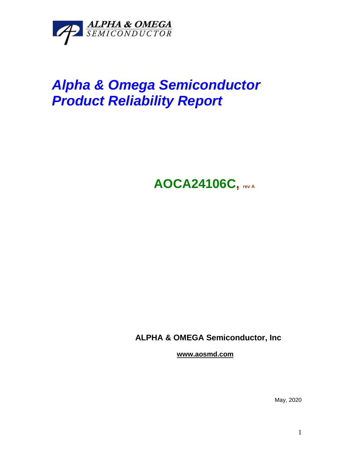

## *Alpha & Omega Semiconductor Product Reliability Report*

**AOCA24106C, rev <sup>A</sup>**

**ALPHA & OMEGA Semiconductor, Inc**

**www.aosmd.com**

May, 2020